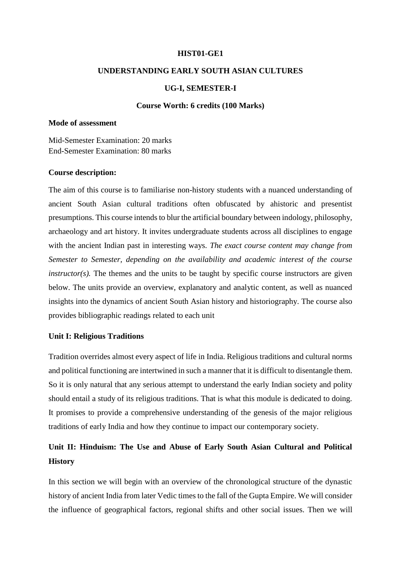### **HIST01-GE1**

## **UNDERSTANDING EARLY SOUTH ASIAN CULTURES**

### **UG-I, SEMESTER-I**

#### **Course Worth: 6 credits (100 Marks)**

## **Mode of assessment**

Mid-Semester Examination: 20 marks End-Semester Examination: 80 marks

### **Course description:**

The aim of this course is to familiarise non-history students with a nuanced understanding of ancient South Asian cultural traditions often obfuscated by ahistoric and presentist presumptions. This course intends to blur the artificial boundary between indology, philosophy, archaeology and art history. It invites undergraduate students across all disciplines to engage with the ancient Indian past in interesting ways. *The exact course content may change from Semester to Semester, depending on the availability and academic interest of the course*   $instructor(s)$ . The themes and the units to be taught by specific course instructors are given below. The units provide an overview, explanatory and analytic content, as well as nuanced insights into the dynamics of ancient South Asian history and historiography. The course also provides bibliographic readings related to each unit

### **Unit I: Religious Traditions**

Tradition overrides almost every aspect of life in India. Religious traditions and cultural norms and political functioning are intertwined in such a manner that it is difficult to disentangle them. So it is only natural that any serious attempt to understand the early Indian society and polity should entail a study of its religious traditions. That is what this module is dedicated to doing. It promises to provide a comprehensive understanding of the genesis of the major religious traditions of early India and how they continue to impact our contemporary society.

# **Unit II: Hinduism: The Use and Abuse of Early South Asian Cultural and Political History**

In this section we will begin with an overview of the chronological structure of the dynastic history of ancient India from later Vedic times to the fall of the Gupta Empire. We will consider the influence of geographical factors, regional shifts and other social issues. Then we will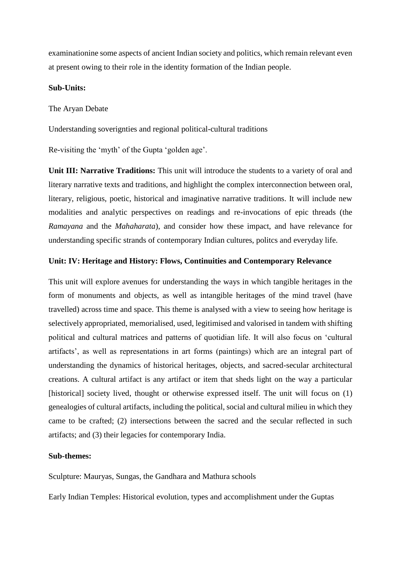examinationine some aspects of ancient Indian society and politics, which remain relevant even at present owing to their role in the identity formation of the Indian people.

## **Sub-Units:**

The Aryan Debate

Understanding soverignties and regional political-cultural traditions

Re-visiting the 'myth' of the Gupta 'golden age'.

**Unit III: Narrative Traditions:** This unit will introduce the students to a variety of oral and literary narrative texts and traditions, and highlight the complex interconnection between oral, literary, religious, poetic, historical and imaginative narrative traditions. It will include new modalities and analytic perspectives on readings and re-invocations of epic threads (the *Ramayana* and the *Mahaharata*), and consider how these impact, and have relevance for understanding specific strands of contemporary Indian cultures, politcs and everyday life.

## **Unit: IV: Heritage and History: Flows, Continuities and Contemporary Relevance**

This unit will explore avenues for understanding the ways in which tangible heritages in the form of monuments and objects, as well as intangible heritages of the mind travel (have travelled) across time and space. This theme is analysed with a view to seeing how heritage is selectively appropriated, memorialised, used, legitimised and valorised in tandem with shifting political and cultural matrices and patterns of quotidian life. It will also focus on 'cultural artifacts', as well as representations in art forms (paintings) which are an integral part of understanding the dynamics of historical heritages, objects, and sacred-secular architectural creations. A cultural artifact is any artifact or item that sheds light on the way a particular [historical] society lived, thought or otherwise expressed itself. The unit will focus on (1) genealogies of cultural artifacts, including the political, social and cultural milieu in which they came to be crafted; (2) intersections between the sacred and the secular reflected in such artifacts; and (3) their legacies for contemporary India.

## **Sub-themes:**

Sculpture: Mauryas, Sungas, the Gandhara and Mathura schools

Early Indian Temples: Historical evolution, types and accomplishment under the Guptas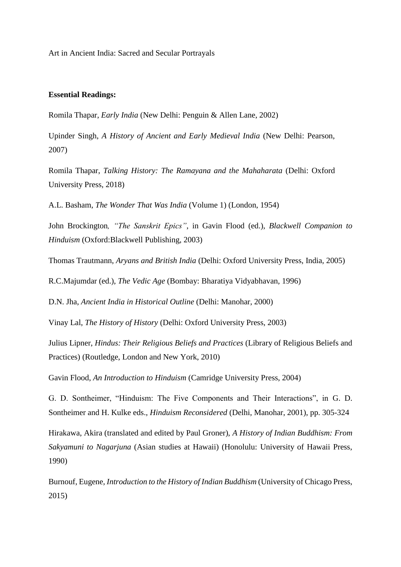Art in Ancient India: Sacred and Secular Portrayals

### **Essential Readings:**

Romila Thapar, *Early India* (New Delhi: Penguin & Allen Lane, 2002)

Upinder Singh, *A History of Ancient and Early Medieval India* (New Delhi: Pearson, 2007)

Romila Thapar, *Talking History: The Ramayana and the Mahaharata* (Delhi: Oxford University Press, 2018)

A.L. Basham, *The Wonder That Was India* (Volume 1) (London, 1954)

John Brockington*, "The Sanskrit Epics"*, in Gavin Flood (ed.), *[Blackwell Companion to](https://books.google.com/?id=qSfneQ0YYY8C&pg=PA116)  [Hinduism](https://books.google.com/?id=qSfneQ0YYY8C&pg=PA116)* (Oxford:Blackwell Publishing, 2003)

Thomas Trautmann, *Aryans and British India* (Delhi: Oxford University Press, India, 2005)

R.C.Majumdar (ed.), *The Vedic Age* (Bombay: Bharatiya Vidyabhavan, 1996)

D.N. Jha, *Ancient India in Historical Outline* (Delhi: Manohar, 2000)

Vinay Lal, *The History of History* (Delhi: Oxford University Press, 2003)

Julius Lipner, *Hindus: Their Religious Beliefs and Practices* (Library of Religious Beliefs and Practices) (Routledge, London and New York, 2010)

Gavin Flood, *An Introduction to Hinduism* (Camridge University Press, 2004)

G. D. Sontheimer, "Hinduism: The Five Components and Their Interactions", in G. D. Sontheimer and H. Kulke eds., *Hinduism Reconsidered* (Delhi, Manohar, 2001), pp. 305-324

Hirakawa, Akira (translated and edited by Paul Groner), *A History of Indian Buddhism: From Sakyamuni to Nagarjuna* (Asian studies at Hawaii) (Honolulu: University of Hawaii Press, 1990)

Burnouf, Eugene, *Introduction to the History of Indian Buddhism* (University of Chicago Press, 2015)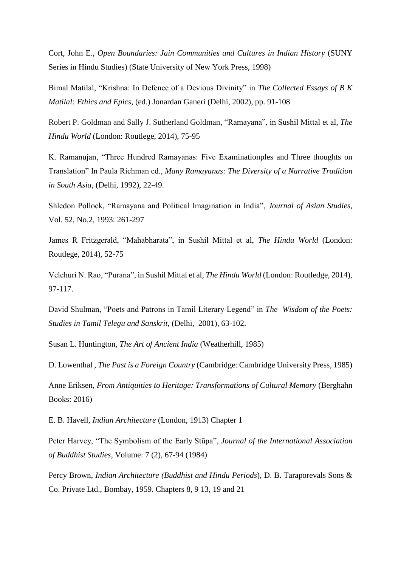Cort, John E., *Open Boundaries: Jain Communities and Cultures in Indian History* (SUNY Series in Hindu Studies) (State University of New York Press, 1998)

Bimal Matilal, "Krishna: In Defence of a Devious Divinity" in *The Collected Essays of B K Matilal: Ethics and Epics*, (ed.) Jonardan Ganeri (Delhi, 2002), pp. 91-108

Robert P. Goldman and Sally J. Sutherland Goldman, "Ramayana", in Sushil Mittal et al, *The Hindu World* (London: Routlege, 2014), 75-95

K. Ramanujan, "Three Hundred Ramayanas: Five Examinationples and Three thoughts on Translation" In Paula Richman ed., *Many Ramayanas: The Diversity of a Narrative Tradition in South Asia*, (Delhi, 1992), 22-49.

Shledon Pollock, "Ramayana and Political Imagination in India", *Journal of Asian Studies,*  Vol. 52, No.2, 1993: 261-297

James R Fritzgerald, "Mahabharata", in Sushil Mittal et al, *The Hindu World* (London: Routlege, 2014), 52-75

Velchuri N. Rao, "Purana", in Sushil Mittal et al, *The Hindu World* (London: Routledge, 2014), 97-117.

David Shulman, "Poets and Patrons in Tamil Literary Legend" in *The Wisdom of the Poets: Studies in Tamil Telegu and Sanskrit*, (Delhi, 2001), 63-102.

Susan L. Huntington, *The Art of Ancient India* (Weatherhill, 1985)

D. Lowenthal , *The Past is a Foreign Country* (Cambridge: Cambridge University Press, 1985)

Anne Eriksen, *From Antiquities to Heritage: Transformations of Cultural Memory* (Berghahn Books: 2016)

E. B. Havell, *Indian Architecture* (London, 1913) Chapter 1

Peter Harvey, ["The Symbolism of the Early Stūpa"](https://web.archive.org/web/20141210164545/http:/journals.ub.uni-heidelberg.de/index.php/jiabs/article/viewFile/8633/2540), *Journal of the International Association of Buddhist Studies*, Volume: 7 (2), 67-94 (1984)

Percy Brown, *Indian Architecture (Buddhist and Hindu Periods*), D. B. Taraporevals Sons & Co. Private Ltd., Bombay, 1959. Chapters 8, 9 13, 19 and 21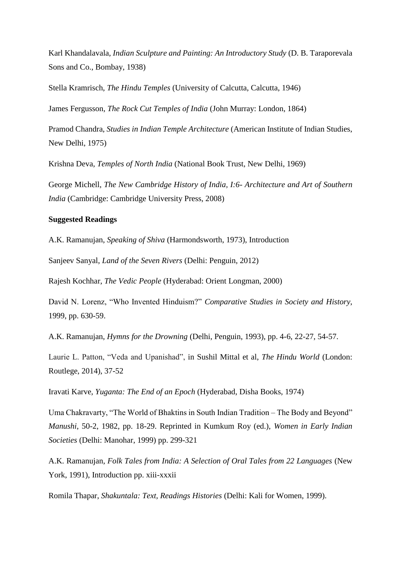Karl Khandalavala, *Indian Sculpture and Painting: An Introductory Study* (D. B. Taraporevala Sons and Co., Bombay, 1938)

Stella Kramrisch, *The Hindu Temples* (University of Calcutta, Calcutta, 1946)

James Fergusson, *The Rock Cut Temples of India* (John Murray: London, 1864)

Pramod Chandra, *Studies in Indian Temple Architecture* (American Institute of Indian Studies, New Delhi, 1975)

Krishna Deva, *Temples of North India* (National Book Trust, New Delhi, 1969)

George Michell, *The New Cambridge History of India, I:6- Architecture and Art of Southern India* (Cambridge: Cambridge University Press, 2008)

## **Suggested Readings**

A.K. Ramanujan, *Speaking of Shiva* (Harmondsworth, 1973), Introduction

Sanjeev Sanyal, *Land of the Seven Rivers* (Delhi: Penguin, 2012)

Rajesh Kochhar, *The Vedic People* (Hyderabad: Orient Longman, 2000)

David N. Lorenz, "Who Invented Hinduism?" *Comparative Studies in Society and History*, 1999, pp. 630-59.

A.K. Ramanujan, *Hymns for the Drowning* (Delhi, Penguin, 1993), pp. 4-6, 22-27, 54-57.

Laurie L. Patton, "Veda and Upanishad", in Sushil Mittal et al, *The Hindu World* (London: Routlege, 2014), 37-52

Iravati Karve, *Yuganta: The End of an Epoch* (Hyderabad, Disha Books, 1974)

Uma Chakravarty, "The World of Bhaktins in South Indian Tradition – The Body and Beyond" *Manushi*, 50-2, 1982, pp. 18-29. Reprinted in Kumkum Roy (ed.), *Women in Early Indian Societies* (Delhi: Manohar, 1999) pp. 299-321

A.K. Ramanujan, *Folk Tales from India: A Selection of Oral Tales from 22 Languages* (New York, 1991), Introduction pp. xiii-xxxii

Romila Thapar, *Shakuntala: Text, Readings Histories* (Delhi: Kali for Women, 1999).